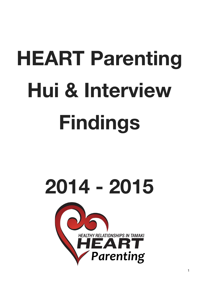# **HEART Parenting Hui & Interview Findings**

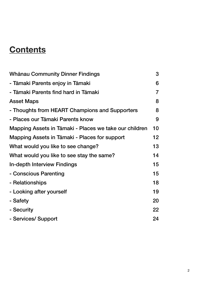# **Contents**

| <b>Whānau Community Dinner Findings</b>                | 3              |
|--------------------------------------------------------|----------------|
| - Tāmaki Parents enjoy in Tāmaki                       | 6              |
| - Tāmaki Parents find hard in Tāmaki                   | $\overline{7}$ |
| <b>Asset Maps</b>                                      | 8              |
| - Thoughts from HEART Champions and Supporters         | 8              |
| - Places our Tāmaki Parents know                       | 9              |
| Mapping Assets in Tāmaki - Places we take our children | 10             |
| Mapping Assets in Tāmaki - Places for support          | 12             |
| What would you like to see change?                     | 13             |
| What would you like to see stay the same?              | 14             |
| <b>In-depth Interview Findings</b>                     | 15             |
| - Conscious Parenting                                  | 15             |
| - Relationships                                        | 18             |
| - Looking after yourself                               | 19             |
| - Safety                                               | 20             |
| - Security                                             | 22             |
| - Services/ Support                                    | 24             |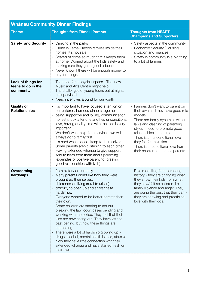| <b>Whānau Community Dinner Findings</b>               |                                                                                                                                                                                                                                                                                                                                                                                                                                                                                                                                                                                                                                                                                                                      |                                                                                                                                                                                                                                                                                                                                                                  |  |
|-------------------------------------------------------|----------------------------------------------------------------------------------------------------------------------------------------------------------------------------------------------------------------------------------------------------------------------------------------------------------------------------------------------------------------------------------------------------------------------------------------------------------------------------------------------------------------------------------------------------------------------------------------------------------------------------------------------------------------------------------------------------------------------|------------------------------------------------------------------------------------------------------------------------------------------------------------------------------------------------------------------------------------------------------------------------------------------------------------------------------------------------------------------|--|
| <b>Theme</b>                                          | <b>Thoughts from Tāmaki Parents</b>                                                                                                                                                                                                                                                                                                                                                                                                                                                                                                                                                                                                                                                                                  | <b>Thoughts from HEART</b><br><b>Champions and Supporters</b>                                                                                                                                                                                                                                                                                                    |  |
| <b>Safety and Security</b>                            | - Drinking in the parks<br>Crime in Tāmaki keeps families inside their<br>homes. It's not safe.<br>- Scared of crime so much that it keeps them<br>at home. Worried about the kids safety and<br>making sure they get a good education.<br>Never know if there will be enough money to<br>pay for things.                                                                                                                                                                                                                                                                                                                                                                                                            | - Safety aspects in the community<br><b>Economic Security (Housing</b><br>situation and finances)<br>Safety in community is a big thing<br>to a lot of families                                                                                                                                                                                                  |  |
| Lack of things for<br>teens to do in the<br>community | - The need for a physical space - The new<br>Music and Arts Centre might help.<br>The challenges of young teens out at night,<br>unsupervised<br>Need incentives around for our youth                                                                                                                                                                                                                                                                                                                                                                                                                                                                                                                                |                                                                                                                                                                                                                                                                                                                                                                  |  |
| <b>Quality of</b><br><b>Relationships</b>             | - It's important to have focused attention on<br>our children, humour, dinners together<br>being supportive and loving, communication,<br>honesty, look after one another, unconditional<br>love, having quality time with the kids is very<br>important<br>- We don't want help from services, we will<br>always go to family first.<br>It's hard when people keep to themselves.<br>Some parents aren't listening to each other.<br>Having extended whanau to give support.<br>And to learn from them about parenting<br>(examples of positive parenting, creating<br>good relationships with kids)                                                                                                                | - Families don't want to parent on<br>their own and they have good role<br>models<br>There are family dynamics with in-<br>laws and clashing of parenting<br>styles - need to promote good<br>relationships in the area<br>There is an unconditional love<br>they felt for their kids<br>- There is unconditional love from<br>their children to them as parents |  |
| Overcoming<br>hardships                               | from history or currently<br>- Many parents didn't like how they were<br>brought up themselves.<br>differences in living (rural to urban)<br>- difficulty to open up and share these<br>hardships.<br>Everyone wanted to be better parents than<br>their own.<br>Some children are starting to act out -<br>breaking the law, court cases pending and<br>working with the police. They feel that their<br>kids are now acting out. They have left the<br>past behind, but now these things are<br>happening.<br>There were a lot of hardship growing up -<br>drugs, alcohol, mental health issues, abusive.<br>Now they have little connection with their<br>extended whanau and have started fresh on<br>their own. | Role modelling from parenting<br>history - they are changing what<br>they show their kids from what<br>they saw/ felt as children. i.e.<br>family violence and anger. They<br>are doing the best that they can -<br>they are showing and practicing<br>love with their kids.                                                                                     |  |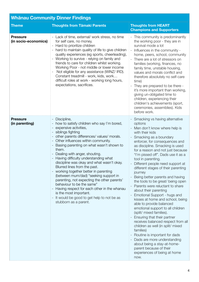| <b>Whānau Community Dinner Findings</b> |                                                                                                                                                                                                                                                                                                                                                                                                                                                                                                                                                                                                                                                                                                                    |                                                                                                                                                                                                                                                                                                                                                                                                                                                                                                                                                                                                                                                                                                                                                                                                                                                                                                                                                                                    |  |
|-----------------------------------------|--------------------------------------------------------------------------------------------------------------------------------------------------------------------------------------------------------------------------------------------------------------------------------------------------------------------------------------------------------------------------------------------------------------------------------------------------------------------------------------------------------------------------------------------------------------------------------------------------------------------------------------------------------------------------------------------------------------------|------------------------------------------------------------------------------------------------------------------------------------------------------------------------------------------------------------------------------------------------------------------------------------------------------------------------------------------------------------------------------------------------------------------------------------------------------------------------------------------------------------------------------------------------------------------------------------------------------------------------------------------------------------------------------------------------------------------------------------------------------------------------------------------------------------------------------------------------------------------------------------------------------------------------------------------------------------------------------------|--|
| <b>Theme</b>                            | <b>Thoughts from Tāmaki Parents</b>                                                                                                                                                                                                                                                                                                                                                                                                                                                                                                                                                                                                                                                                                | <b>Thoughts from HEART</b><br><b>Champions and Supporters</b>                                                                                                                                                                                                                                                                                                                                                                                                                                                                                                                                                                                                                                                                                                                                                                                                                                                                                                                      |  |
| <b>Pressure</b><br>(in socio-economics) | - Lack of time, external/ work stress, no time<br>for self care, no money.<br>Hard to prioritize children<br>hard to maintain quality of life to give children<br>quality experiences (eg sports, cheerleading),<br>- Working to survive - relying on family and<br>friends to care for children whilst working.<br>Working Poor - not middle or lower income<br>Not eligible for any assistance (WINZ/IRD).<br>Constant treadmill - work, kids, work<br>difficult roles at work - working long hours,<br>expectations, sacrifices.                                                                                                                                                                                | - This community is predominantly<br>the working poor - they are in<br>survival mode a lot<br>Influences in the community -<br>home, peers, school, community<br>There are a lot of stressors on<br>families (working, finances, no<br>family time, unstable housing,<br>values and morals conflict and<br>therefore absolutely no self-care<br>time)<br>They are prepared to be there -<br>it's more important than working,<br>giving un-obligated time to<br>children, experiencing their<br>children's achievements (sport,<br>ceremonies, assemblies). Kids<br>before work.                                                                                                                                                                                                                                                                                                                                                                                                   |  |
| <b>Pressure</b><br>(in parenting)       | Discipline,<br>how to satisfy children who say I'm bored,<br>expensive activities,<br>siblings fighting<br>other parents differences/ values/ morals.<br>Other influences within community.<br>Basing parenting on what wasn't shown to<br>them.<br>Dealing with anger, shouting.<br>Having difficulty understanding what<br>discipline was okay and what wasn't okay.<br>Blurred lines from the past.<br>working together better in parenting<br>(between mum/dad) "seeking support in<br>parenting, not expecting the other parents'<br>behaviour to be the same"<br>Having respect for each other in the whanau<br>is the most important.<br>It would be good to get help to not be as<br>stubborn as a parent. | - Smacking vs having alternative<br>options<br>Men don't know where help is<br>with their kids<br>Smacking as a boundary<br>enforcer, for consequences and<br>as discipline. Smacking is used<br>for a reason and not just because<br>"I'm pissed off". Dads use it as a<br>tool in parenting.<br>Different people need support at<br>different stages of their parenting<br>journey<br>Being better parents and having<br>the tools to be great/ being open<br>Parents were reluctant to share<br>about their parenting<br>Emotional Support - hugs and<br>kisses at home and school, being<br>able to provide balanced<br>emotional support to all children<br>(split/ mixed families).<br>Ensuring that their partner<br>receives balanced respect from all<br>children as well (in split/ mixed<br>families)<br>Routine is important for dads<br>Dads are more understanding<br>about being a stay-at-home-<br>parent because of their<br>experiences of being at home<br>now. |  |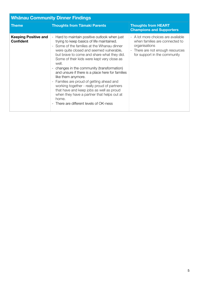| <b>Whānau Community Dinner Findings</b>         |                                                                                                                                                                                                                                                                                                                                                                                                                                                                                                                                                                                                                                                               |                                                                                                                                                           |  |
|-------------------------------------------------|---------------------------------------------------------------------------------------------------------------------------------------------------------------------------------------------------------------------------------------------------------------------------------------------------------------------------------------------------------------------------------------------------------------------------------------------------------------------------------------------------------------------------------------------------------------------------------------------------------------------------------------------------------------|-----------------------------------------------------------------------------------------------------------------------------------------------------------|--|
| <b>Theme</b>                                    | <b>Thoughts from Tāmaki Parents</b>                                                                                                                                                                                                                                                                                                                                                                                                                                                                                                                                                                                                                           | <b>Thoughts from HEART</b><br><b>Champions and Supporters</b>                                                                                             |  |
| <b>Keeping Positive and</b><br><b>Confident</b> | - Hard to maintain positive outlook when just<br>trying to keep basics of life maintained.<br>- Some of the families at the Whanau dinner<br>were quite closed and seemed vulnerable,<br>but brave to come and share what they did.<br>Some of their kids were kept very close as<br>well.<br>- changes in the community (transformation)<br>and unsure if there is a place here for families<br>like them anymore.<br>- Families are proud of getting ahead and<br>working together - really proud of partners<br>that have and keep jobs as well as proud<br>when they have a partner that helps out at<br>home.<br>- There are different levels of OK-ness | - A lot more choices are available<br>when families are connected to<br>organisations<br>- There are not enough resources<br>for support in the community |  |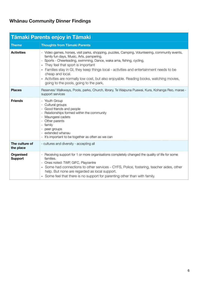# **Whānau Community Dinner Findings**

| Tāmaki Parents enjoy in Tāmaki |                                                                                                                                                                                                                                                                                                                                                                                                                                                                                                              |  |
|--------------------------------|--------------------------------------------------------------------------------------------------------------------------------------------------------------------------------------------------------------------------------------------------------------------------------------------------------------------------------------------------------------------------------------------------------------------------------------------------------------------------------------------------------------|--|
| <b>Theme</b>                   | <b>Thoughts from Tāmaki Parents</b>                                                                                                                                                                                                                                                                                                                                                                                                                                                                          |  |
| <b>Activities</b>              | - Video games, horses, visit parks, shopping, puzzles, Camping, Volunteering, community events,<br>family fun days, Music, Arts, pampering,<br>Sports - Cheerleading, swimming, Dance, waka ama, fishing, cycling,<br>They feel that sport is important<br>- Families stay in GI, they keep things local - activities and entertainment needs to be<br>cheap and local.<br>- Activities are normally low cost, but also enjoyable. Reading books, watching movies,<br>going to the pools, going to the park, |  |
| <b>Places</b>                  | Reserves/ Walkways, Pools, parks, Church, library, Te Waipuna Puawai, Kura, Kohanga Reo, marae -<br>support services                                                                                                                                                                                                                                                                                                                                                                                         |  |
| <b>Friends</b>                 | - Youth Group<br>- Cultural groups<br>- Good friends and people<br>Relationships formed within the community<br>Maungarei cadets<br>Other parents<br>family<br>peer groups<br>extended whanau<br>It's important to be together as often as we can                                                                                                                                                                                                                                                            |  |
| The culture of<br>the place    | - cultures and diversity - accepting all                                                                                                                                                                                                                                                                                                                                                                                                                                                                     |  |
| Organised<br><b>Support</b>    | - Receiving support for 1 or more organisations completely changed the quality of life for some<br>families.<br>Ones noted: TWP, GIFC, Playcentre<br>- Some had connections to other services - CYFS, Police, fostering, teacher aides, other<br>help. But none are regarded as local support.<br>- Some feel that there is no support for parenting other than with family.                                                                                                                                 |  |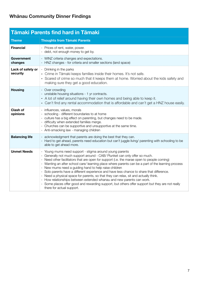| <b>Tāmaki Parents find hard in Tāmaki</b> |                                                                                                                                                                                                                                                                                                                                                                                                                                                                                                                                                                                                                                                                                                                                                                                                 |  |
|-------------------------------------------|-------------------------------------------------------------------------------------------------------------------------------------------------------------------------------------------------------------------------------------------------------------------------------------------------------------------------------------------------------------------------------------------------------------------------------------------------------------------------------------------------------------------------------------------------------------------------------------------------------------------------------------------------------------------------------------------------------------------------------------------------------------------------------------------------|--|
| <b>Theme</b>                              | <b>Thoughts from Tāmaki Parents</b>                                                                                                                                                                                                                                                                                                                                                                                                                                                                                                                                                                                                                                                                                                                                                             |  |
| <b>Financial</b>                          | - Prices of rent, water, power.<br>- debt, not enough money to get by.                                                                                                                                                                                                                                                                                                                                                                                                                                                                                                                                                                                                                                                                                                                          |  |
| Government<br>changes                     | - WINZ criteria changes and expectations.<br>- HNZ changes - for criteria and smaller sections (land space)                                                                                                                                                                                                                                                                                                                                                                                                                                                                                                                                                                                                                                                                                     |  |
| Lack of safety or<br>security             | - Drinking in the parks<br>- Crime in Tāmaki keeps families inside their homes. It's not safe.<br>- Scared of crime so much that it keeps them at home. Worried about the kids safety and<br>making sure they get a good education.                                                                                                                                                                                                                                                                                                                                                                                                                                                                                                                                                             |  |
| <b>Housing</b>                            | - Over crowding<br>- unstable housing situations - 1 yr contracts.<br>- A lot of relief around having their own homes and being able to keep it.<br>- Can't find any rental accommodation that is affordable and can't get a HNZ house easily.                                                                                                                                                                                                                                                                                                                                                                                                                                                                                                                                                  |  |
| Clash of<br>opinions                      | - influences, values, morals<br>- schooling - different boundaries to at home<br>- culture has a big effect on parenting, but changes need to be made.<br>difficulty when extended families merge.<br>- Churches can be supportive and unsupportive at the same time.<br>- Anti-smacking law - managing children                                                                                                                                                                                                                                                                                                                                                                                                                                                                                |  |
| <b>Balancing life</b>                     | - acknowledgment that parents are doing the best that they can.<br>- Hard to get ahead, parents need education but can't juggle living/ parenting with schooling to be<br>able to get ahead more.                                                                                                                                                                                                                                                                                                                                                                                                                                                                                                                                                                                               |  |
| <b>Unmet Needs</b>                        | - Young mums need support - stigma around young parents<br>- Generally not much support around - CAB/ Plunket can only offer so much.<br>Need other facilitators that are open for support (i.e. the marae open to people coming)<br>- Wanting an after school care/ learning place where parents can be a part of the learning process<br>- New mums need a guiding hand to help raise children<br>- Solo parents have a different experience and have less chance to share that difference.<br>- Need a physical space for parents, so that they can relax, sit and actually think.<br>- How relationships between extended whanau and new parents can work.<br>- Some places offer good and rewarding support, but others offer support but they are not really<br>there for actual support. |  |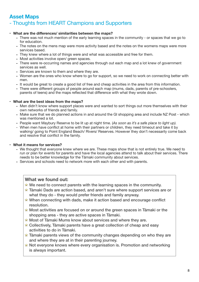# **Asset Maps**  - Thoughts from HEART Champions and Supporters

# **• What are the differences/ similarities between the maps?**

- **-** There was not much mention of the early learning spaces in the community or spaces that we go to for education.
- **-** The notes on the mens map were more activity based and the notes on the womens maps were more services based.
- **-** They knew where a lot of things were and what was accessible and free for them.
- **-** Most activities involve open/ green spaces.
- **-** There were re-occurring names and agencies through out each map and a lot knew of government services as well.
- **-** Services are known to them and where they are.
- **-** Women are the ones who know where to go for support, so we need to work on connecting better with men.
- **-** It would be great to create a good list of free and cheap activities in the area from this information.
- **-** There were different groups of people around each map (mums, dads, parents of pre-schoolers, parents of teens) and the maps reflected that difference with what they wrote down.

### **• What are the best ideas from the maps?**

- **-** Men didn't know where support places were and wanted to sort things out more themselves with their own networks of friends and family.
- **-** Make sure that we do planned actions in and around the GI shopping area and include NZ Post which was mentioned a lot.
- **-** People want Maybury Reserve to be lit up at night time. (*As soon as it's a safe place to light up).*
- When men have conflict at home with their partners or children, they need timeout and take it by walking/ going to Point England Beach/ Rivers/ Reserves. However they don't necessarily come back and resolve that conflict in the family.

# **• What it means for services?**

- **-** We thought that everyone knew where we are. These maps show that is not entirely true. We need to run or plan for events for parents and have the local agencies attend to talk about their services. There needs to be better knowledge for the Tāmaki community about services.
- **-** Services and schools need to network more with each other and with parents.

# **What we found out:**

- $\hat{X}$  We need to connect parents with the learning spaces in the community.
- $\hat{\mathbf{x}}$  Tāmaki Dads are action based, and aren't sure where support services are or what they do - they would prefer friends and family anyway.
- $\hat{\mathbf{x}}$  When connecting with dads, make it action based and encourage conflict resolution.
- $\hat{\mathbf{x}}$  Most activities are focused on or around the green spaces in Tamaki or the shopping area - they are active spaces in Tāmaki.
- $\hat{\mathbf{x}}$  Most of Tāmaki Mums know about services and where they are.
- $\hat{\mathbf{x}}$  Collectively, Tāmaki parents have a great collection of cheap and easy activities to do in Tāmaki.
- $\hat{\mathbf{x}}$  Tamaki parents views of the community changes depending on who they are and where they are at in their parenting journey.
- $\hat{\mathbf{x}}$  Not everyone knows where every organisation is. Promotion and networking is always important.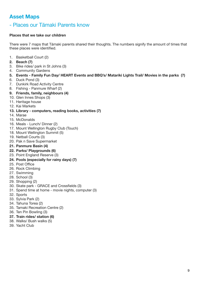# **Asset Maps**

# - Places our Tāmaki Parents know

# **Places that we take our children**

There were 7 maps that Tāmaki parents shared their thoughts. The numbers signify the amount of times that these places were identified.

- 1. Basketball Court (2)
- **2. Beach (7)**
- 3. Bike rides/ park in St Johns (3)
- 4. Community Gardens
- **5. Events Family Fun Day/ HEART Events and BBQ's/ Matariki Lights Trail/ Movies in the parks (7)**
- 6. Duck Pond (3)
- 7. Dunkirk Road Activity Centre
- 8. Fishing Panmure Wharf (2)
- **9. Friends, family, neighbours (4)**
- 10. Glen Innes Shops (3)
- 11. Heritage house
- 12. Kai Markets

### **13. Library - computers, reading books, activities (7)**

- 14. Marae
- 15. McDonalds
- 16. Meals Lunch/ Dinner (2)
- 17. Mount Wellington Rugby Club (Touch)
- 18. Mount Wellington Summit (5)
- 19. Netball Courts (3)
- 20. Pak n Save Supermarket
- **21. Panmure Basin (4)**
- **22. Parks/ Playgrounds (6)**
- 23. Point England Reserve (3)
- **24. Pools (especially for rainy days) (7)**
- 25. Post Office
- 26. Rock Climbing
- 27. Swimming
- 28. School (3)
- 29. Shopping (2)
- 30. Skate park GRACE and Crossfields (3)
- 31. Spend time at home movie nights, computer (3)
- 32. Sports
- 33. Sylvia Park (2)
- 34. Tahuna Torea (2)
- 35. Tamaki Recreation Centre (2)
- 36. Ten Pin Bowling (3)
- **37. Train rides/ station (6)**
- 38. Walks/ Bush walks (5)
- 39. Yacht Club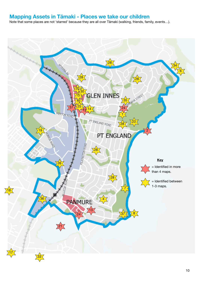# **Mapping Assets in Tāmaki - Places we take our children**

Note that some places are not 'starred' because they are all over Tāmaki (walking, friends, family, events…).

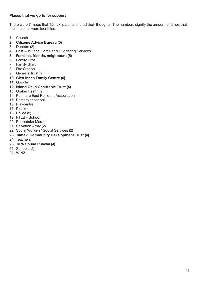# **Places that we go to for support**

There were 7 maps that Tāmaki parents shared their thoughts. The numbers signify the amount of times that these places were identified.

- 1. Church
- **2. Citizens Advice Bureau (5)**
- 3. Doctors (2)
- 4. East Auckland Home and Budgeting Services
- **5. Families, friends, neighbours (5)**
- 6. Family First
- 7. Family Start
- 8. Fire Station
- 9. Genesis Trust (2)
- **10. Glen Innes Family Centre (6)**
- 11. Google
- **12. Island Child Charitable Trust (4)**
- 13. Orakei Health (2)
- 14. Panmure East Resident Association
- 15. Parents at school
- 16. Playcentre
- 17. Plunket
- 18. Police (2)
- 19. RTLB School
- 20. Ruapotaka Marae
- 21. Salvation Army (2)
- 22. Social Workers/ Social Services (2)
- **23. Tamaki Community Development Trust (4)**
- 24. Teachers
- **25. Te Waipuna Puawai (4)**
- 26. Schools (2)
- 27. WINZ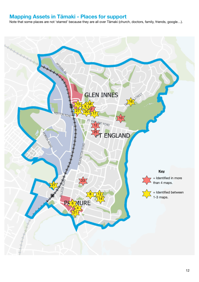# **Mapping Assets in Tāmaki - Places for support**

Note that some places are not 'starred' because they are all over Tāmaki (church, doctors, family, friends, google…).

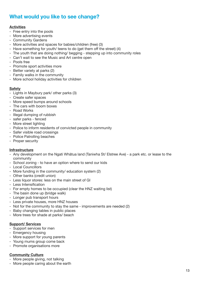# **What would you like to see change?**

# **Activities**

- Free entry into the pools
- More advertising events
- Community Gardens
- More activities and spaces for babies/children (free) (3)
- Have something for youth/ teens to do (get them off the street) (4)
- The youth that are doing nothing/ begging stepping up into community roles
- Can't wait to see the Music and Art centre open
- Pools free
- Promote sport activities more
- Better variety at parks (2)
- Family walks in the community
- More school holiday activities for children

### **Safety**

- Lights in Maybury park/ other parks (3)
- Create safer spaces
- More speed bumps around schools
- The cars with boom boxes
- Road Works
- Illegal dumping of rubbish
- safer parks fenced
- More street lighting
- Police to inform residents of convicted people in community
- Safer visible road crossings
- Police Patrolling beaches
- Proper security

# **Infrastructure**

- Any development on the Ngati Whātua land (Taniwha St/ Elstree Ave) a park etc. or lease to the community
- School zoning to have an option where to send our kids
- Local Councillors
- More funding in the community/ education system (2)
- Other banks (credit union) - Less liquor stores: less on the main street of GI
- Less Intensification
- For empty homes to be occupied (clear the HNZ waiting list)
- The basin done up (bridge walk)
- Longer pub transport hours
- Less private houses, more HNZ houses
- Not for the community to stay the same improvements are needed (2)
- Baby changing tables in public places
- More trees for shade at parks/ beach

# **Support/ Services**

- Support services for men
- Emergency housing
- More support for young parents
- Young mums group come back
- Promote organisations more

# **Community Culture**

- More people giving, not talking
- More people caring about the earth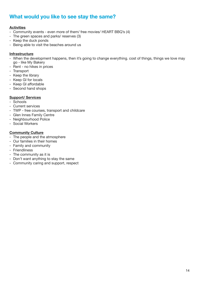# **What would you like to see stay the same?**

# **Activities**

- Community events even more of them/ free movies/ HEART BBQ's (4)
- The green spaces and parks/ reserves (3)
- Keep the duck ponds
- Being able to visit the beaches around us

### **Infrastructure**

- When the development happens, then it's going to change everything. cost of things, things we love may go - like My Bakery
- Rent no hikes in prices
- Transport
- Keep the library
- Keep GI for locals
- Keep GI affordable
- Second hand shops

# **Support/ Services**

- Schools
- Current services
- TWP free courses, transport and childcare
- Glen Innes Family Centre
- Neighbourhood Police
- Social Workers

### **Community Culture**

- The people and the atmosphere
- Our families in their homes
- Family and community
- Friendliness
- The community as it is
- Don't want anything to stay the same
- Community caring and support, respect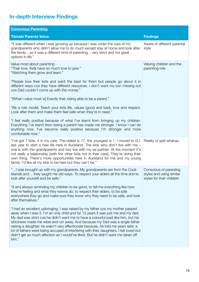# **In-depth Interview Findings**

| <b>Conscious Parenting</b>                                                                                                                                                                                                                                                                                                                                                                                                                                                                                                                                                                                               |                                                                                 |
|--------------------------------------------------------------------------------------------------------------------------------------------------------------------------------------------------------------------------------------------------------------------------------------------------------------------------------------------------------------------------------------------------------------------------------------------------------------------------------------------------------------------------------------------------------------------------------------------------------------------------|---------------------------------------------------------------------------------|
| <b>Tāmaki Parents Voice</b>                                                                                                                                                                                                                                                                                                                                                                                                                                                                                                                                                                                              | <b>Findings</b>                                                                 |
| "It was different when I was growing up because I was under the care of my<br>grandparents who didn't allow me to do much except stay at home and look after<br>the familyso it was a different kind of parenting very strict and not great<br>options in life."                                                                                                                                                                                                                                                                                                                                                         | Aware of different parental<br>style                                            |
| Value most about parenting -<br>"Their love. Kids have so much love to give."<br>"Watching them grow and learn."                                                                                                                                                                                                                                                                                                                                                                                                                                                                                                         | Valuing children and the<br>parenting role                                      |
| "People love their kids and want the best for them but people go about it in<br>different ways cos they have different resources. I don't want my son missing out<br>cos Dad couldn't come up with the money."                                                                                                                                                                                                                                                                                                                                                                                                           |                                                                                 |
| "[What I value most is] Exactly that, being able to be a parent."                                                                                                                                                                                                                                                                                                                                                                                                                                                                                                                                                        |                                                                                 |
| "Be a role model. Teach your kids life, values (good and bad), love and respect.<br>Look after them and make them feel safe when they're in need."                                                                                                                                                                                                                                                                                                                                                                                                                                                                       |                                                                                 |
| "I feel really positive because of what I've learnt from bringing up my children.<br>Everything I've learnt from being a parent has made me stronger. I know I can do<br>anything now. I've become really positive because I'm stronger and more<br>comfortable now."                                                                                                                                                                                                                                                                                                                                                    |                                                                                 |
| "I've got 7 kids, 4 in my care. The oldest is 17, the youngest is 1. I moved to G.I. Reality of split whanau<br>last year to start a new life here in Auckland. The kids who don't live with me -<br>one is with the grandparents and two live with my ex-partner. At the moment it's<br>not really a relationship [with the other kids not in their care]. They're doing their<br>own thing. There's more opportunities here in Auckland for me and my young<br>family. I'd like all my kids to be here but they can't be."                                                                                             |                                                                                 |
| " I was brought up with my grandparents. My grandparents are from the Cook<br>Islands and they taught me old ways. To respect your elders all the time and to<br>look after yourself and be safe."                                                                                                                                                                                                                                                                                                                                                                                                                       | Conscious of parenting<br>styles and using similar<br>styles for their children |
| "[I am] always reminding my children to be good, to tell me everything like how<br>they're feeling and what they wanna do, to respect their elders, to be safe<br>everywhere they go and make sure they know why they need to be safe, and look<br>after themselves."                                                                                                                                                                                                                                                                                                                                                    |                                                                                 |
| "I had an excellent upbringing. I was raised by my father cos my mother passed<br>away when I was 3. I'm an only child and for 13 years it was just me and my dad.<br>My dad was strict cos he didn't want me to have a colourful past like him, but his<br>strictness made me rebel and run away. And because my Dad was a single father<br>raising a daughter, he wasn't very affectionate because, he told me years later, a<br>lot of fathers were being accused of interfering with their daughters. I felt loved but<br>didn't get as much affection as I would've liked. But he didn't want me taken off<br>him." |                                                                                 |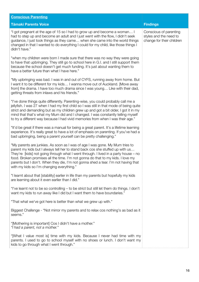| <b>Conscious Parenting</b>                                                                                                                                                                                                                                                                                                                                                                                                                                                 |                                                                               |
|----------------------------------------------------------------------------------------------------------------------------------------------------------------------------------------------------------------------------------------------------------------------------------------------------------------------------------------------------------------------------------------------------------------------------------------------------------------------------|-------------------------------------------------------------------------------|
| <b>Tāmaki Parents Voice</b>                                                                                                                                                                                                                                                                                                                                                                                                                                                | <b>Findings</b>                                                               |
| "I got pregnant at the age of 15 so I had to grow up and become a woman I<br>had to step up and become an adult and I just went with the flow, I didn't seek<br>guidance, I just took things as they came when she came into the world things<br>changed in that I wanted to do everything I could for my child, like those things I<br>didn't have."                                                                                                                      | Conscious of parenting<br>styles and the need to<br>change for their children |
| "when my children were born I made sure that there was no way they were going<br>to have that upbringing. They still go to school here in G.I. and I still support them<br>because the school doesn't get much funding. It's just about wanting them to<br>have a better future than what I have here."                                                                                                                                                                    |                                                                               |
| "My upbringing was bad. I was in and out of CYFS, running away from home. But<br>I want it to be different for my kids I wanna move out of Auckland. [Move away<br>from] the drama. I have too much drama since I was young Like with their dad,<br>getting threats from inlaws and his friends."                                                                                                                                                                          |                                                                               |
| "I've done things quite differently. Parenting-wise, you could probably call me a<br>jellyfish. I was 27 when I had my first child so I was still in that mode of being quite<br>strict and demanding but as my children grew up and got a bit older, I got it in my<br>mind that that's what my Mum did and I changed. I was constantly telling myself<br>to try a different way because I had vivid memories from when I was their age."                                 |                                                                               |
| "It'd be great if there was a manual for being a great parent. It's a lifetime learning<br>experience. It's really great to have a lot of emphasis on parenting. If you've had a<br>bad upbringing, being a parent yourself can be pretty challenging."                                                                                                                                                                                                                    |                                                                               |
| "My parents are junkies. As soon as I was of age I was gone. My Mum tries to<br>parent my kids but I always tell her to stand back cos she stuffed up with us<br>They're [kids] not going through what I went through. I lived in a party house - no<br>food. Broken promises all the time. I'm not gonna do that to my kids. I love my<br>parents but I don't. When they die, I'm not gonna shed a tear. I'm not having that<br>with my kids so I'm changing everything." |                                                                               |
| "I learnt about that [stability] earlier in life than my parents but hopefully my kids<br>are learning about it even earlier than I did."                                                                                                                                                                                                                                                                                                                                  |                                                                               |
| "I've learnt not to be so controlling - to be strict but still let them do things. I don't<br>want my kids to run away like I did but I want them to have boundaries."                                                                                                                                                                                                                                                                                                     |                                                                               |
| "That what we've got here is better than what we grew up with."                                                                                                                                                                                                                                                                                                                                                                                                            |                                                                               |
| Biggest Challenge - "Not mirror my parents and to relax cos nothing's as bad as it<br>seems."                                                                                                                                                                                                                                                                                                                                                                              |                                                                               |
| "[Mothering is important] Cos I didn't have a mother."<br>"I had a parent, not a mother."                                                                                                                                                                                                                                                                                                                                                                                  |                                                                               |
| "[What I value most is] time with my kids. Because I never had time with my<br>parents. I used to go to school myself with no shoes or lunch. I don't want my<br>kids to go through what I went through."                                                                                                                                                                                                                                                                  |                                                                               |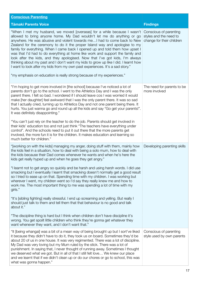| <b>Conscious Parenting</b>                                                                                                                                                                                                                                                                                                                                                                                                                                                                                                                                                                                                                                                                                                                                                                                                                                                                                                                                                                                                                                                                                                                                                         |                                                                               |
|------------------------------------------------------------------------------------------------------------------------------------------------------------------------------------------------------------------------------------------------------------------------------------------------------------------------------------------------------------------------------------------------------------------------------------------------------------------------------------------------------------------------------------------------------------------------------------------------------------------------------------------------------------------------------------------------------------------------------------------------------------------------------------------------------------------------------------------------------------------------------------------------------------------------------------------------------------------------------------------------------------------------------------------------------------------------------------------------------------------------------------------------------------------------------------|-------------------------------------------------------------------------------|
| <b>Tāmaki Parents Voice</b>                                                                                                                                                                                                                                                                                                                                                                                                                                                                                                                                                                                                                                                                                                                                                                                                                                                                                                                                                                                                                                                                                                                                                        | <b>Findings</b>                                                               |
| "When I met my husband, we moved [overseas] for a while because I wasn't<br>allowed to bring anyone home. My Dad wouldn't let me do anything or go<br>anywhere. He was abusive and violent towards me I had to come back to New<br>Zealand for the ceremony to do it the proper Island way and apologise to my<br>family for everything. When I came back I opened up and told them how upset I<br>was that I'd had to do everything at home like work and support the family and<br>look after the kids, and they apologised. Now that I've got kids, I'm always<br>thinking about my past and I don't want my kids to grow up like I did. I learnt how<br>I want to look after my kids from my own past experiences. It's a sad story."<br>"my emphasis on education is really strong because of my experiences."                                                                                                                                                                                                                                                                                                                                                                | Conscious of parenting<br>styles and the need to<br>change for their children |
| "I'm hoping to get more involved in [the school] because I've noticed a lot of<br>parents don't go to the school. I went to the Athletics Day and I was the only<br>parent there. I felt so bad. I wondered if I should leave cos I was worried it would<br>make [her daughter] feel awkward that I was the only parent there. It was so sad<br>that I actually cried, turning up to Athletics Day and not one parent being there. It<br>hurts. You just wanna go and round up all the kids and say "Go get your parents!".<br>It was definitely disappointing."<br>"You can't just rely on the teacher to do the job. Parents should get involved in<br>their kids' education too and not just think "The teachers have everything under<br>control". And the schools need to put it out there that the more parents get<br>involved, the more fun it is for the children. It makes education and learning so<br>much better for children."                                                                                                                                                                                                                                       | The need for parents to be<br>more involved                                   |
| "[working on with the kids] managing my anger, doing stuff with them, mainly how<br>the kids feel in a situation, how to deal with being a solo mum, how to deal with<br>the kids because their Dad comes whenever he wants and when he's here the<br>kids get really hyped up and when he goes they get angry."<br>"I learnt not to get angry so quickly and be harsh and using harsh words. I did use<br>smacking but I eventually I learnt that smacking doesn't normally get a good result<br>so I tried to ease up on that. Spending time with my children. I was working but<br>wherever I went, my children went so I'd say they really knew me and how to<br>work me. The most important thing to me was spending a lot of time with my<br>girls."<br>"It's [sibling fighting] really stressful. I end up screaming and yelling. But really I<br>should just talk to them and tell them that that behaviour is no good and talk<br>about it."<br>"The discipline thing is hard but I think when children don't have discipline it's<br>wrong. You get spoilt little children who think they're gonna get whatever they<br>want whenever they want, and I don't want that." | Developing parenting skills                                                   |
| "It [being whangai] was a bit of a mean way of being brought up but I sort've liked<br>it because they didn't have to do it, they took us on board. Sometimes they'd be<br>about 20 of us in one house. It was very regimented. There was a lot of discipline.<br>My Dad was very loving but my Mum ruled by the stick. There was a lot of<br>punishment. In saying that, I never thought of running away. Sometimes I thought<br>we deserved what we got. But in all of that I still felt love We knew our place<br>and we learnt that if we didn't clean up or do our chores or go to school, this was<br>what was gonna happen."                                                                                                                                                                                                                                                                                                                                                                                                                                                                                                                                                | Conscious of parenting<br>style used by own parents                           |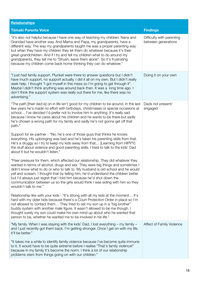| <b>Relationships</b>                                                                                                                                                                                                                                                                                                                                                                                                                                                                                                                                       |                                                  |
|------------------------------------------------------------------------------------------------------------------------------------------------------------------------------------------------------------------------------------------------------------------------------------------------------------------------------------------------------------------------------------------------------------------------------------------------------------------------------------------------------------------------------------------------------------|--------------------------------------------------|
| <b>Tāmaki Parents Voice</b>                                                                                                                                                                                                                                                                                                                                                                                                                                                                                                                                | <b>Findings</b>                                  |
| "it's also not helpful because I have one way of teaching my children. Nana and<br>Grandad have another way. And Mama and Papa, my grandparents, have a<br>different way. The way my grandparents taught me was a proper parenting way<br>but when they have my children they let them do whatever because it's their<br>great-grandchildren. And if I try and tell my children what to do around my<br>grandparents, they tell me to "Shush, leave them alone". So it's frustrating<br>because my children come back home thinking they can do whatever." | Difficulty with parenting<br>between generations |
| "I just had family support. Plunket were there to answer questions but I didn't<br>have much support, no support actually. I did it all on my own. But I didn't really<br>seek help. I thought "I got myself in this mess so I'm going to get through it".<br>Maybe I didn't think anything was around back then. It was a long time ago. I<br>don't think the support system was really out there for me, like there was no<br>advertising."                                                                                                              | Doing it on your own                             |
| "The path [their dad is] on in life isn't good for my children to be around. In the last<br>few years he's made no effort with birthdays, christmases or special occasions at<br>school I've decided I'd prefer not to involve him in anything. It's really sad<br>because I know he cares about his children and he wants to be there but sadly<br>he's chosen a wrong path for my family and sadly he's not gonna get off that<br>path."                                                                                                                 | Dads not present/<br>engaged                     |
| Support for ex-partner - "No, he's one of those guys that thinks he knows<br>everything. His upbringing was bad and he's taken his parenting skills from that.<br>He's a druggy so I try to keep my kids away from that [Learning from HIPPY]<br>the stuff about violence and good parenting skills. I tried to talk to the kids' Dad<br>about it but he wouldn't listen."                                                                                                                                                                                 |                                                  |
| "Peer pressure for them, which affected our relationship. They did whatever they<br>wanted in terms of alcohol, drugs and sex. They were big things and sometimes I<br>didn't know what to do or who to talk to. My husband is old school and he would<br>yell and scream. I thought that by telling him, he'd understand the children better<br>but I'd always just regret that I told him because he'd shut down the<br>communication between us so the girls would think I was siding with him so they<br>wouldn't talk to me."                         |                                                  |
| Relationship like with your kids - "It's strong with all my kids at the moment It's<br>hard with my older kids because there's a Court Protection Order in place so I'm<br>not allowed to contact them They tried to set my son up in a "big brother"<br>buddy system with another male figure. It wasn't allowed to be me though. I<br>thought surely my son could make his own mind up about who he wanted that<br>person to be, whether he wanted me to be involved in his life."                                                                       |                                                  |
| "My family. When I was staying with the kids' Dad, I lost everything – my family –<br>and I just recently got them back. I'm getting stronger. Once I get on with my life,<br>it'll be better."                                                                                                                                                                                                                                                                                                                                                            | Affect of Family Violence                        |
| "It takes me a while to identify family violence because I've become quite immune<br>to it. It would have to be quite extreme before I realise "That's family violence!"<br>because in my family it's become the norm. I think a lot of our relationship<br>problems stem from things going on with our children."                                                                                                                                                                                                                                         |                                                  |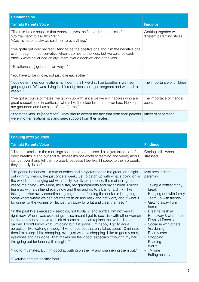| <b>Relationships</b>                                                                                                                                                                                                                       |                                                     |
|--------------------------------------------------------------------------------------------------------------------------------------------------------------------------------------------------------------------------------------------|-----------------------------------------------------|
| <b>Tämaki Parents Voice</b>                                                                                                                                                                                                                | <b>Findings</b>                                     |
| "The rule in our house is that whoever gives the first order, that sticks."<br>"So they tend to ask him first."<br>"Cos my parents always said 'no' to everything."                                                                        | Working together with<br>different parenting styles |
| "I've gotta get over my fear. I tend to be the positive one and him the negative one<br>even though I'm conservative when it comes to the kids, but we balance each<br>other. We've never had an argument over a decision about the kids." |                                                     |
| "[Relationships] gotta be two ways."                                                                                                                                                                                                       |                                                     |
| "You have to be in love, not just love each other."                                                                                                                                                                                        |                                                     |
| "Kids determined our relationship. I don't think we'd still be together if we hadn't<br>got pregnant. We were living in different places but I got pregnant and wanted to<br>keep it."                                                     | The importance of children                          |
| "I've got a couple of mates I've grown up with since we were in nappies who are<br>great support, one in particular who's like the older brother I never had. He keeps<br>me grounded and has a lot of time for me."                       | The importace of friends/<br>peers                  |
| "It tore the kids up [separation]. They had to accept the fact that both their parents Affect of separation<br>were in other relationships and seek support from their mates."                                                             |                                                     |

| <b>Looking after yourself</b>                                                                                                                                                                                                                                                                                                                                                                                                                                                                                                                                                                                                                                                                                                                                                                                                                                                                                                                                                                                                                                                                                                                                                                                                                                                                                                                                                                                                            |                                                                                                                                                                                                                                                                                                                                                               |  |  |
|------------------------------------------------------------------------------------------------------------------------------------------------------------------------------------------------------------------------------------------------------------------------------------------------------------------------------------------------------------------------------------------------------------------------------------------------------------------------------------------------------------------------------------------------------------------------------------------------------------------------------------------------------------------------------------------------------------------------------------------------------------------------------------------------------------------------------------------------------------------------------------------------------------------------------------------------------------------------------------------------------------------------------------------------------------------------------------------------------------------------------------------------------------------------------------------------------------------------------------------------------------------------------------------------------------------------------------------------------------------------------------------------------------------------------------------|---------------------------------------------------------------------------------------------------------------------------------------------------------------------------------------------------------------------------------------------------------------------------------------------------------------------------------------------------------------|--|--|
| <b>Tāmaki Parents Voice</b>                                                                                                                                                                                                                                                                                                                                                                                                                                                                                                                                                                                                                                                                                                                                                                                                                                                                                                                                                                                                                                                                                                                                                                                                                                                                                                                                                                                                              | <b>Findings</b>                                                                                                                                                                                                                                                                                                                                               |  |  |
| "I like to exercise in the mornings so I'm not so stressed. I also just take a lot of<br>deep breaths in and out and tell myself it's not worth screaming and yelling about,<br>just get over it and tell them properly because I feel like if I speak to them properly,<br>they actually listen."                                                                                                                                                                                                                                                                                                                                                                                                                                                                                                                                                                                                                                                                                                                                                                                                                                                                                                                                                                                                                                                                                                                                       | Coping skills when<br>stressed                                                                                                                                                                                                                                                                                                                                |  |  |
| "I'm gonna be honest a cup of coffee and a cigarette does me great, or a night<br>out with my friends, like just once a week, just to catch up with what's going on in<br>the world. Just hanging out with family. Family are probably the main thing that<br>keeps me going – my Mum, my sister, my grandparents and my children. I might<br>team up with a girlfriend every now and then and go to a bar for a drink. I like<br>taking the kids away sometimes, going out and feeding the ducks or just going<br>somewhere where we can breathe fresh air and relax and not worry about what's<br>for dinner or the worries of life, just run away for a bit and clear the head."<br>"In the past I've exercised – aerobics, hot hoola (?) and zumba. I'm not very fit<br>right now. When I was exercising, it also meant I got to socialise with other women<br>in the community. I have to think of something I can replace that with. I like to<br>garden. I don't know what I'm doing but if it grows, I'm happy. I go to aqua<br>aerobics. I like walking my dog. I like to read but that only takes about 10 minutes<br>then I'm asleep. I like shopping, even just window shopping. I like to get my nails,<br>eyelashes and hair done. That makes me feel good, especially colouring my hair. I<br>like going out for lunch with my girls."<br>"I go to my mates. But I'm good at putting on the TV and channelling them out." | Mini breaks from<br>parenting<br>- Taking a coffee/ ciggy<br>break<br>- Hanging out with family<br>- Team up with friends<br>- Getting away from<br>home<br>- Breathe fresh air<br>- Run away & clear head<br>- Physical Exercise<br>- Socialise with others<br>Gardening<br>- Beauty care<br>- Shopping<br>- Reading<br>Walks<br>- TV time<br>Eating healthy |  |  |
| "Exercise and eat healthy food."                                                                                                                                                                                                                                                                                                                                                                                                                                                                                                                                                                                                                                                                                                                                                                                                                                                                                                                                                                                                                                                                                                                                                                                                                                                                                                                                                                                                         |                                                                                                                                                                                                                                                                                                                                                               |  |  |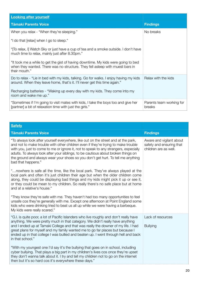| <b>Looking after yourself</b>                                                                                                                                                        |                                    |
|--------------------------------------------------------------------------------------------------------------------------------------------------------------------------------------|------------------------------------|
| <b>Tāmaki Parents Voice</b>                                                                                                                                                          | <b>Findings</b>                    |
| When you relax - "When they're sleeping."                                                                                                                                            | No breaks                          |
| "I do that [relax] when I go to sleep."                                                                                                                                              |                                    |
| "[To relax, I] Watch Sky or just have a cup of tea and a smoke outside. I don't have<br>much time to relax, mainly just after 8.30pm."                                               |                                    |
| "It took me a while to get the gist of having downtime. My kids were going to bed<br>when they wanted. There was no structure. They fell asleep with muesli bars in<br>their mouth." |                                    |
| Do to relax - "Lie in bed with my kids, talking. Go for walks. I enjoy having my kids<br>around. When they leave home, that's it. I'll never get this time again."                   | Relax with the kids                |
| Recharging batteries - "Waking up every day with my kids. They come into my<br>room and wake me up."                                                                                 |                                    |
| "Sometimes if I'm going to visit mates with kids, I take the boys too and give her<br>[partner] a bit of relaxation time with just the girls."                                       | Parents team working for<br>breaks |

| <b>Safety</b>                                                                                                                                                                                                                                                                                                                                                                                                                                                   |                                                                               |
|-----------------------------------------------------------------------------------------------------------------------------------------------------------------------------------------------------------------------------------------------------------------------------------------------------------------------------------------------------------------------------------------------------------------------------------------------------------------|-------------------------------------------------------------------------------|
| <b>Tāmaki Parents Voice</b>                                                                                                                                                                                                                                                                                                                                                                                                                                     | <b>Findings</b>                                                               |
| "To always look after yourself everywhere, like out on the street and at the park,<br>and not to make trouble with other children even if they're trying to make trouble<br>with you, just to come to me or ignore it, not to speak to any strangers, especially<br>adults. To always look after your siblings, to be cautious about broken things on<br>the ground and always wear your shoes so you don't get hurt. To tell me anything<br>bad that happens." | Aware and vigilant about<br>safety and ensuring that<br>children are as well. |
| "nowhere is safe all the time, like the local park. They've always played at the<br>local park and often it's just children their age but when the older children come<br>along, they could be displaying bad things and my kids might pick it up or see it,<br>or they could be mean to my children. So really there's no safe place but at home<br>and at a relative's house."                                                                                |                                                                               |
| "They know they're safe with me. They haven't had too many opportunities to feel<br>unsafe cos they're generally with me. Except one afternoon at Point England some<br>kids who were drinking tried to beat us all up while we were having a barbeque.<br>My kids were really scared."                                                                                                                                                                         |                                                                               |
| "G.I. is quite poor, a lot of Pacific Islanders who live roughly and don't really have<br>anything. We were pretty much in that category. We didn't really have anything<br>and I ended up at Tamaki College and that was really the downer of my life. I had<br>great plans for myself and my family wanted me to go far places but because I<br>ended up in that college I was bullied and beaten up. I went through hell and back<br>in that school."        | Lack of resources<br><b>Bullying</b>                                          |
| "With my youngest one I'd say it's the bullying that goes on in school, including<br>cyber bullying. That plays a big part in my children's lives cos once they're upset<br>they don't wanna talk about it. I try and tell my children not to go on the internet<br>then but it's so hard cos it's everywhere these days."                                                                                                                                      |                                                                               |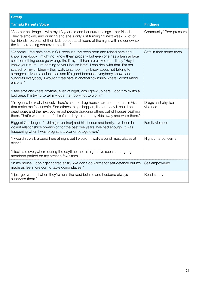| <b>Safety</b>                                                                                                                                                                                                                                                                                                                                                                                                                                                                                                                                                                                            |                                |
|----------------------------------------------------------------------------------------------------------------------------------------------------------------------------------------------------------------------------------------------------------------------------------------------------------------------------------------------------------------------------------------------------------------------------------------------------------------------------------------------------------------------------------------------------------------------------------------------------------|--------------------------------|
| <b>Tāmaki Parents Voice</b>                                                                                                                                                                                                                                                                                                                                                                                                                                                                                                                                                                              | <b>Findings</b>                |
| "Another challenge is with my 13 year old and her surroundings – her friends.<br>They're smoking and drinking and she's only just turning 13 next week. A lot of<br>her friends' parents let their kids be out at all hours of the night with no curfew so<br>the kids are doing whatever they like."                                                                                                                                                                                                                                                                                                    | Community/ Peer pressure       |
| "At home. I feel safe here in G.I. because I've been born and raised here and I<br>know everybody. I might not know them properly but everyone has a familiar face<br>so if something does go wrong, like if my children are picked on, I'll say "Hey, I<br>know your Mum. I'm coming to your house later". I can deal with that. I'm not<br>scared for my children - they walk to school, they know about not talking to<br>strangers. I live in a cul-de-sac and it's good because everybody knows and<br>supports everybody. I wouldn't feel safe in another township where I didn't know<br>anyone." | Safe in their home town        |
| "I feel safe anywhere anytime, even at night, cos I grew up here. I don't think it's a<br>bad area. I'm trying to tell my kids that too - not to worry."                                                                                                                                                                                                                                                                                                                                                                                                                                                 |                                |
| "I'm gonna be really honest. There's a lot of drug houses around me here in G.I.<br>that make me feel unsafe. Sometimes things happen, like one day it could be<br>dead quiet and the next you've got people dragging others out of houses bashing<br>them. That's when I don't feel safe and try to keep my kids away and warn them."                                                                                                                                                                                                                                                                   | Drugs and physical<br>violence |
| Biggest Challenge - "him [ex-partner] and his friends and family. I've been in<br>violent relationships on-and-off for the past five years. I've had enough. It was<br>happening when I was pregnant a year or so ago even."                                                                                                                                                                                                                                                                                                                                                                             | Family violence                |
| "I wouldn't walk around here at night but I wouldn't walk around most places at<br>night."                                                                                                                                                                                                                                                                                                                                                                                                                                                                                                               | Night time concerns            |
| "I feel safe everywhere during the daytime, not at night. I've seen some gang<br>members parked on my street a few times."                                                                                                                                                                                                                                                                                                                                                                                                                                                                               |                                |
| "In my house. I don't get scared easily. We don't do karate for self-defence but it's<br>made us feel more comfortable going places."                                                                                                                                                                                                                                                                                                                                                                                                                                                                    | Self empowered                 |
| "I just get worried when they're near the road but me and husband always<br>supervise them."                                                                                                                                                                                                                                                                                                                                                                                                                                                                                                             | Road safety                    |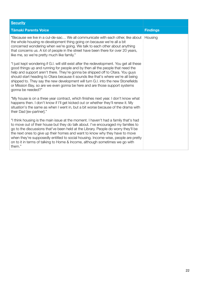| <b>Security</b>                                                                                                                                                                                                                                                                                                                                                                                                                                                                                                                            |                 |
|--------------------------------------------------------------------------------------------------------------------------------------------------------------------------------------------------------------------------------------------------------------------------------------------------------------------------------------------------------------------------------------------------------------------------------------------------------------------------------------------------------------------------------------------|-----------------|
| <b>Tāmaki Parents Voice</b>                                                                                                                                                                                                                                                                                                                                                                                                                                                                                                                | <b>Findings</b> |
| "Because we live in a cul-de-sac We all communicate with each other, like about<br>the whole housing re-development thing going on because we're all a bit<br>concerned wondering when we're going. We talk to each other about anything<br>that concerns us. A lot of people in the street have been there for over 20 years,<br>like me, so we're pretty much like family."                                                                                                                                                              | Housing         |
| "I just kept wondering if G.I. will still exist after the redevelopment. You get all these<br>good things up and running for people and by then all the people that need the<br>help and support aren't there. They're gonna be shipped off to Otara. You guys<br>should start heading to Otara because it sounds like that's where we're all being<br>shipped to. They say the new development will turn G.I. into the new Stonefields<br>or Mission Bay, so are we even gonna be here and are those support systems<br>gonna be needed?" |                 |
| "My house is on a three year contract, which finishes next year. I don't know what<br>happens then. I don't know if I'll get kicked out or whether they'll renew it. My<br>situation's the same as when I went in, but a bit worse because of the drama with<br>their Dad [ex-partner]."                                                                                                                                                                                                                                                   |                 |
| "I think housing is the main issue at the moment. I haven't had a family that's had<br>to move out of their house but they do talk about. I've encouraged my families to<br>go to the discussions that've been held at the Library. People do worry they'll be<br>the next ones to give up their homes and want to know why they have to move<br>when they're supposedly entitled to social housing. Income-wise, people are pretty<br>on to it in terms of talking to Home & Income, although sometimes we go with<br>them."              |                 |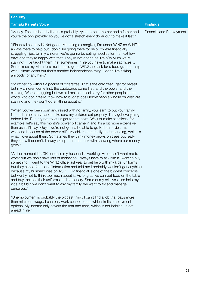| <b>Security</b>                                                                                                                                                                                                                                                                                                                                                                                                                                                                                                                                                                                                                                                                                     |                                 |
|-----------------------------------------------------------------------------------------------------------------------------------------------------------------------------------------------------------------------------------------------------------------------------------------------------------------------------------------------------------------------------------------------------------------------------------------------------------------------------------------------------------------------------------------------------------------------------------------------------------------------------------------------------------------------------------------------------|---------------------------------|
| <b>Tāmaki Parents Voice</b>                                                                                                                                                                                                                                                                                                                                                                                                                                                                                                                                                                                                                                                                         | <b>Findings</b>                 |
| "Money. The hardest challenge is probably trying to be a mother and a father and<br>you're the only provider so you've gotta stretch every dollar out to make it last."                                                                                                                                                                                                                                                                                                                                                                                                                                                                                                                             | <b>Financial and Employment</b> |
| "[Financial security is] Not good. Me being a caregiver, I'm under WINZ so WINZ is<br>always there to help but I don't like going there for help. If we're financially<br>struggling I just tell my children we're gonna be eating noodles for the next few<br>days and they're happy with that. They're not gonna be like "Oh Mum we're<br>starving". I've taught them that sometimes in life you have to make sacrifices<br>Sometimes my Mum tells me I should go to WINZ and ask for a food grant or help<br>with uniform costs but that's another independence thing. I don't like asking<br>anybody for anything."                                                                             |                                 |
| "I'd rather go without a packet of cigarettes. That's the only treat I get for myself<br>but my children come first, the cupboards come first, and the power and the<br>clothing. We're struggling but we still make it. I feel sorry for other people in the<br>world who don't really know how to budget cos I know people whose children are<br>starving and they don't do anything about it,"                                                                                                                                                                                                                                                                                                   |                                 |
| "When you've been born and raised with no family, you learn to put your family<br>first. I'd rather starve and make sure my children eat properly. They get everything<br>before I do. But I try not to let us get to that point. We just make sacrifices, for<br>example, let's say this month's power bill came in and it's a bit more expensive<br>than usual I'll say "Guys, we're not gonna be able to go to the movies this<br>weekend because of the power bill". My children are really understanding, which is<br>what I love about them. Sometimes they think money grows on trees but really<br>they know it doesn't. I always keep them on track with knowing where our money<br>goes." |                                 |
| "At the moment it's OK because my husband is working. He doesn't want me to<br>worry but we don't have lots of money so I always have to ask him if I want to buy<br>something. I went to the WINZ office last year to get help with my kids' uniforms<br>but they asked for a lot of information and told me I probably wouldn't get anything<br>because my husband was on ACC So financial is one of the biggest concerns<br>but we try not to think too much about it. As long as we can put food on the table<br>and buy the kids their uniforms and stationery. Some of my relatives also help my<br>kids a bit but we don't want to ask my family, we want to try and manage<br>ourselves."   |                                 |
| "Unemployment is probably the biggest thing. I can't find a job that pays more<br>than minimum wage. I can only work school hours, which limits employment<br>options. My income only covers the rent and food, which is not helping us get<br>ahead in life."                                                                                                                                                                                                                                                                                                                                                                                                                                      |                                 |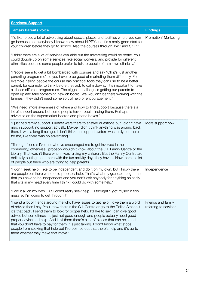| <b>Services/ Support</b>                                                                                                                                                                                                                                                                                                                                                                                                                                                                                                                                                                                                                                 |                                             |
|----------------------------------------------------------------------------------------------------------------------------------------------------------------------------------------------------------------------------------------------------------------------------------------------------------------------------------------------------------------------------------------------------------------------------------------------------------------------------------------------------------------------------------------------------------------------------------------------------------------------------------------------------------|---------------------------------------------|
| <b>Tāmaki Parents Voice</b>                                                                                                                                                                                                                                                                                                                                                                                                                                                                                                                                                                                                                              | <b>Findings</b>                             |
| "I'd like to see a lot of advertising about special places and facilities where you can<br>go because not everybody I know knew about HIPPY and it's a really good start for<br>your children before they go to school. Also the courses through TWP and SKIP."                                                                                                                                                                                                                                                                                                                                                                                          | Promotion/ Marketing                        |
| "I think there are a lot of services available but the advertising could be better. You<br>could double up on some services, like social workers, and provide for different<br>ethnicities because some people prefer to talk to people of their own ethnicity."                                                                                                                                                                                                                                                                                                                                                                                         |                                             |
| "People seem to get a bit bombarded with courses and say "Oh it's just another<br>parenting programme" so you have to be good at marketing them differently. For<br>example, telling people the course has practical tools they can use to be a better<br>parent, for example, to think before they act, to calm down It's important to have<br>all those different programmes. The biggest challenge is getting our parents to<br>open up and take something new on board. We wouldn't be there working with the<br>families if they didn't need some sort of help or encouragement."                                                                   |                                             |
| "[We need] more awareness of where and how to find support because there's a<br>lot of support around but some people have trouble finding them. Perhaps<br>advertise on the supermarket boards and phone boxes."                                                                                                                                                                                                                                                                                                                                                                                                                                        |                                             |
| "I just had family support. Plunket were there to answer questions but I didn't have<br>much support, no support actually. Maybe I didn't think anything was around back<br>then. It was a long time ago. I don't think the support system was really out there<br>for me, like there was no advertising."                                                                                                                                                                                                                                                                                                                                               | More support now                            |
| "Through friend's I've met who've encouraged me to get involved in the<br>community, otherwise I probably wouldn't know about the G.I. Family Centre or the<br>Library. That wasn't there when I was raising my children. But the Family Centre are<br>definitely putting it out there with the fun activity days they have Now there's a lot<br>of people out there who are trying to help parents.                                                                                                                                                                                                                                                     |                                             |
| "I don't seek help. I like to be independent and do it on my own, but I know there<br>are people out there who could probably help. That's what my grandad taught me,<br>that you have to be independent and you don't ask anybody for anything so sadly<br>that sits in my head every time I think I could do with some help."                                                                                                                                                                                                                                                                                                                          | Independence                                |
| "I did it all on my own. But I didn't really seek help I thought "I got myself in this<br>mess so I'm going to get through it".                                                                                                                                                                                                                                                                                                                                                                                                                                                                                                                          |                                             |
| "I send a lot of friends around me who have issues to get help. I give them a word<br>of advice then I say "You know there's the G.I. Centre or go to the Police Station if<br>it's that bad". I send them to look for proper help. I'd like to say I can give good<br>advice but sometimes it's just not good enough and people actually need good<br>proper advice and help. And I tell them there's a lot of places that can help and<br>that you don't have to pay for them, it's just talking. I don't know what stops<br>people from seeking that help but I've pointed out that there's help and it's up to<br>them whether they make that move." | Friends and family<br>referring to services |